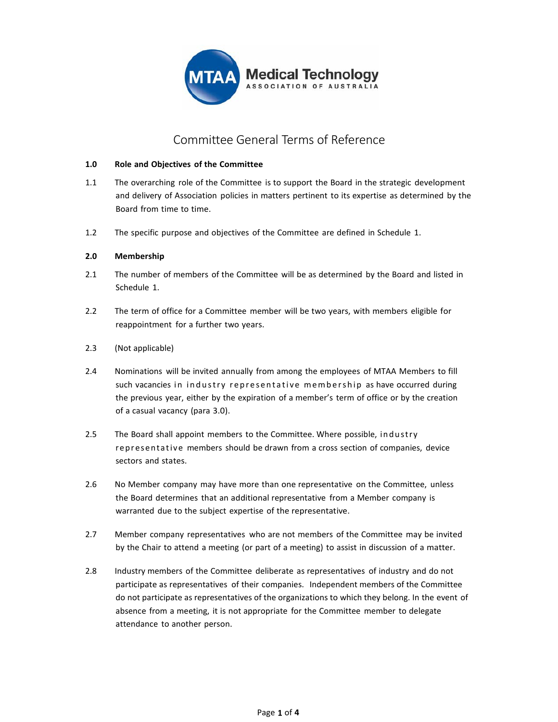

# Committee General Terms of Reference

#### **1.0 Role and Objectives of the Committee**

- 1.1 The overarching role of the Committee is to support the Board in the strategic development and delivery of Association policies in matters pertinent to its expertise as determined by the Board from time to time.
- 1.2 The specific purpose and objectives of the Committee are defined in Schedule 1.

#### **2.0 Membership**

- 2.1 The number of members of the Committee will be as determined by the Board and listed in Schedule 1.
- 2.2 The term of office for a Committee member will be two years, with members eligible for reappointment for a further two years.
- 2.3 (Not applicable)
- 2.4 Nominations will be invited annually from among the employees of MTAA Members to fill such vacancies in industry representative membership as have occurred during the previous year, either by the expiration of a member's term of office or by the creation of a casual vacancy (para 3.0).
- 2.5 The Board shall appoint members to the Committee. Where possible, industry representative members should be drawn from a cross section of companies, device sectors and states.
- 2.6 No Member company may have more than one representative on the Committee, unless the Board determines that an additional representative from a Member company is warranted due to the subject expertise of the representative.
- 2.7 Member company representatives who are not members of the Committee may be invited by the Chair to attend a meeting (or part of a meeting) to assist in discussion of a matter.
- 2.8 Industry members of the Committee deliberate as representatives of industry and do not participate as representatives of their companies. Independent members of the Committee do not participate as representatives of the organizations to which they belong. In the event of absence from a meeting, it is not appropriate for the Committee member to delegate attendance to another person.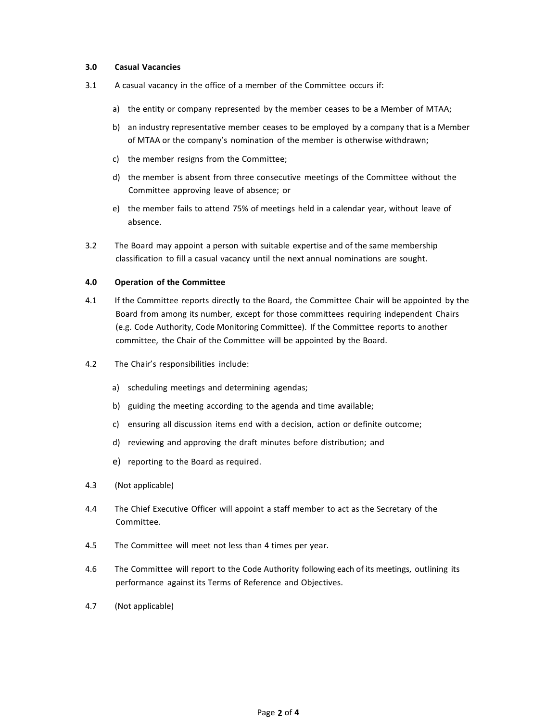#### **3.0 Casual Vacancies**

- 3.1 A casual vacancy in the office of a member of the Committee occurs if:
	- a) the entity or company represented by the member ceases to be a Member of MTAA;
	- b) an industry representative member ceases to be employed by a company that is a Member of MTAA or the company's nomination of the member is otherwise withdrawn;
	- c) the member resigns from the Committee;
	- d) the member is absent from three consecutive meetings of the Committee without the Committee approving leave of absence; or
	- e) the member fails to attend 75% of meetings held in a calendar year, without leave of absence.
- 3.2 The Board may appoint a person with suitable expertise and of the same membership classification to fill a casual vacancy until the next annual nominations are sought.

#### **4.0 Operation of the Committee**

- 4.1 If the Committee reports directly to the Board, the Committee Chair will be appointed by the Board from among its number, except for those committees requiring independent Chairs (e.g. Code Authority, Code Monitoring Committee). If the Committee reports to another committee, the Chair of the Committee will be appointed by the Board.
- 4.2 The Chair's responsibilities include:
	- a) scheduling meetings and determining agendas;
	- b) guiding the meeting according to the agenda and time available;
	- c) ensuring all discussion items end with a decision, action or definite outcome;
	- d) reviewing and approving the draft minutes before distribution; and
	- e) reporting to the Board as required.
- 4.3 (Not applicable)
- 4.4 The Chief Executive Officer will appoint a staff member to act as the Secretary of the Committee.
- 4.5 The Committee will meet not less than 4 times per year.
- 4.6 The Committee will report to the Code Authority following each of its meetings, outlining its performance against its Terms of Reference and Objectives.
- 4.7 (Not applicable)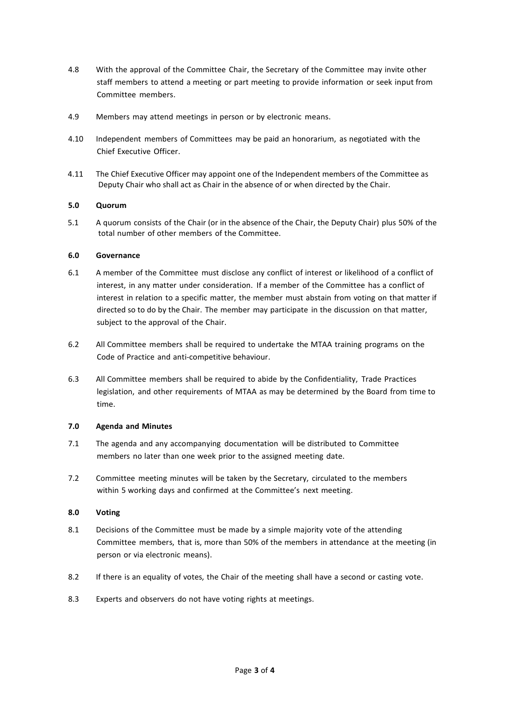- 4.8 With the approval of the Committee Chair, the Secretary of the Committee may invite other staff members to attend a meeting or part meeting to provide information or seek input from Committee members.
- 4.9 Members may attend meetings in person or by electronic means.
- 4.10 Independent members of Committees may be paid an honorarium, as negotiated with the Chief Executive Officer.
- 4.11 The Chief Executive Officer may appoint one of the Independent members of the Committee as Deputy Chair who shall act as Chair in the absence of or when directed by the Chair.

## **5.0 Quorum**

5.1 A quorum consists of the Chair (or in the absence of the Chair, the Deputy Chair) plus 50% of the total number of other members of the Committee.

## **6.0 Governance**

- 6.1 A member of the Committee must disclose any conflict of interest or likelihood of a conflict of interest, in any matter under consideration. If a member of the Committee has a conflict of interest in relation to a specific matter, the member must abstain from voting on that matter if directed so to do by the Chair. The member may participate in the discussion on that matter, subject to the approval of the Chair.
- 6.2 All Committee members shall be required to undertake the MTAA training programs on the Code of Practice and anti‐competitive behaviour.
- 6.3 All Committee members shall be required to abide by the Confidentiality, Trade Practices legislation, and other requirements of MTAA as may be determined by the Board from time to time.

#### **7.0 Agenda and Minutes**

- 7.1 The agenda and any accompanying documentation will be distributed to Committee members no later than one week prior to the assigned meeting date.
- 7.2 Committee meeting minutes will be taken by the Secretary, circulated to the members within 5 working days and confirmed at the Committee's next meeting.

## **8.0 Voting**

- 8.1 Decisions of the Committee must be made by a simple majority vote of the attending Committee members, that is, more than 50% of the members in attendance at the meeting (in person or via electronic means).
- 8.2 If there is an equality of votes, the Chair of the meeting shall have a second or casting vote.
- 8.3 Experts and observers do not have voting rights at meetings.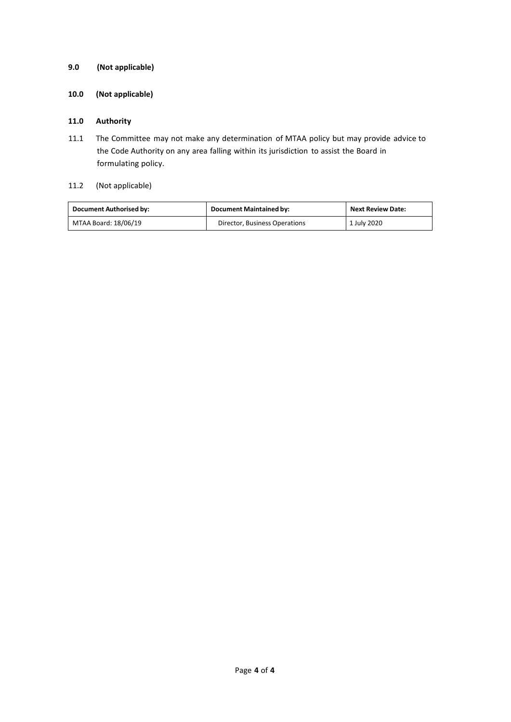# **9.0 (Not applicable)**

# **10.0 (Not applicable)**

## **11.0 Authority**

11.1 The Committee may not make any determination of MTAA policy but may provide advice to the Code Authority on any area falling within its jurisdiction to assist the Board in formulating policy.

# 11.2 (Not applicable)

| Document Authorised by: | <b>Document Maintained by:</b> | <b>Next Review Date:</b> |
|-------------------------|--------------------------------|--------------------------|
| MTAA Board: 18/06/19    | Director, Business Operations  | 1 July 2020              |